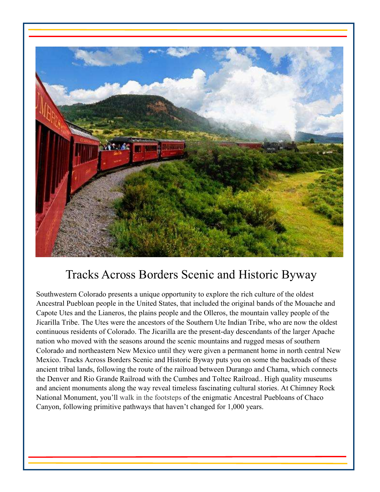

# Tracks Across Borders Scenic and Historic Byway

Southwestern Colorado presents a unique opportunity to explore the rich culture of the oldest Ancestral Puebloan people in the United States, that included the original bands of the Mouache and Capote Utes and the Lianeros, the plains people and the Olleros, the mountain valley people of the Jicarilla Tribe. The Utes were the ancestors of the Southern Ute Indian Tribe, who are now the oldest continuous residents of Colorado. The Jicarilla are the present-day descendants of the larger Apache nation who moved with the seasons around the scenic mountains and rugged mesas of southern Colorado and northeastern New Mexico until they were given a permanent home in north central New Mexico. Tracks Across Borders Scenic and Historic Byway puts you on some the backroads of these ancient tribal lands, following the route of the railroad between Durango and Chama, which connects the Denver and Rio Grande Railroad with the Cumbes and Toltec Railroad.. High quality museums and ancient monuments along the way reveal timeless fascinating cultural stories. At Chimney Rock National Monument, you'll walk in the footsteps of the enigmatic Ancestral Puebloans of Chaco Canyon, following primitive pathways that haven't changed for 1,000 years.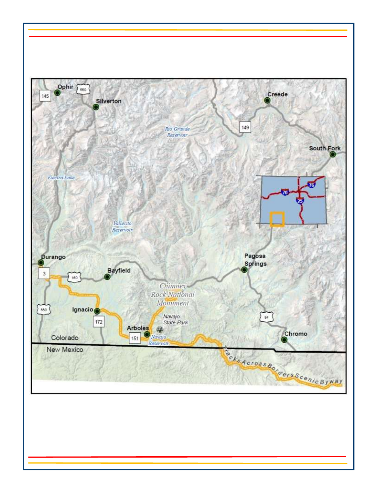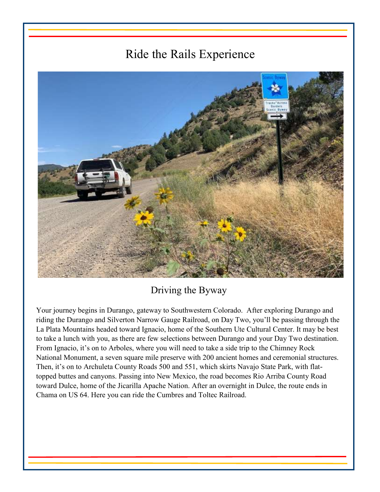# Ride the Rails Experience



## Driving the Byway

Your journey begins in Durango, gateway to Southwestern Colorado. After exploring Durango and riding the Durango and Silverton Narrow Gauge Railroad, on Day Two, you'll be passing through the La Plata Mountains headed toward Ignacio, home of the Southern Ute Cultural Center. It may be best to take a lunch with you, as there are few selections between Durango and your Day Two destination. From Ignacio, it's on to Arboles, where you will need to take a side trip to the Chimney Rock National Monument, a seven square mile preserve with 200 ancient homes and ceremonial structures. Then, it's on to Archuleta County Roads 500 and 551, which skirts Navajo State Park, with flattopped buttes and canyons. Passing into New Mexico, the road becomes Rio Arriba County Road toward Dulce, home of the Jicarilla Apache Nation. After an overnight in Dulce, the route ends in Chama on US 64. Here you can ride the Cumbres and Toltec Railroad.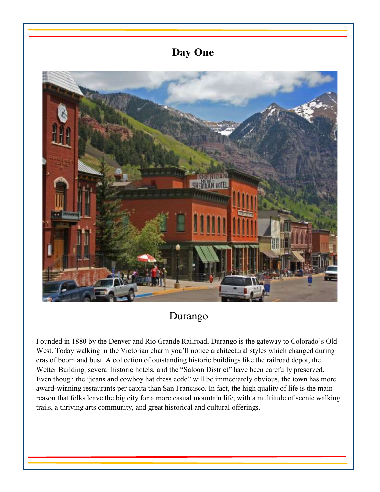## **Day One**



## Durango

Founded in 1880 by the Denver and Rio Grande Railroad, Durango is the gateway to Colorado's Old West. Today walking in the Victorian charm you'll notice architectural styles which changed during eras of boom and bust. A collection of outstanding historic buildings like the railroad depot, the Wetter Building, several historic hotels, and the "Saloon District" have been carefully preserved. Even though the "jeans and cowboy hat dress code" will be immediately obvious, the town has more award-winning restaurants per capita than San Francisco. In fact, the high quality of life is the main reason that folks leave the big city for a more casual mountain life, with a multitude of scenic walking trails, a thriving arts community, and great historical and cultural offerings.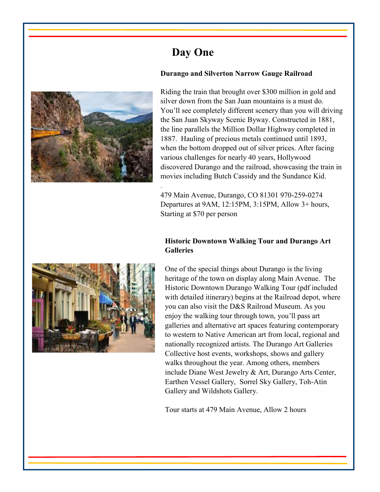

# **Day One**

.

#### **Durango and Silverton Narrow Gauge Railroad**

Riding the train that brought over \$300 million in gold and silver down from the San Juan mountains is a must do. You'll see completely different scenery than you will driving the San Juan Skyway Scenic Byway. Constructed in 1881, the line parallels the Million Dollar Highway completed in 1887. Hauling of precious metals continued until 1893, when the bottom dropped out of silver prices. After facing various challenges for nearly 40 years, Hollywood discovered Durango and the railroad, showcasing the train in movies including Butch Cassidy and the Sundance Kid.

479 Main Avenue, Durango, CO 81301 970-259-0274 Departures at 9AM, 12:15PM, 3:15PM, Allow 3+ hours, Starting at \$70 per person

### **Historic Downtown Walking Tour and Durango Art Galleries**



One of the special things about Durango is the living heritage of the town on display along Main Avenue. The Historic Downtown Durango Walking Tour (pdf included with detailed itinerary) begins at the Railroad depot, where you can also visit the D&S Railroad Museum. As you enjoy the walking tour through town, you'll pass art galleries and alternative art spaces featuring contemporary to western to Native American art from local, regional and nationally recognized artists. The Durango Art Galleries Collective host events, workshops, shows and gallery walks throughout the year. Among others, members include Diane West Jewelry & Art, Durango Arts Center, Earthen Vessel Gallery, Sorrel Sky Gallery, Toh-Atin Gallery and Wildshots Gallery.

Tour starts at 479 Main Avenue, Allow 2 hours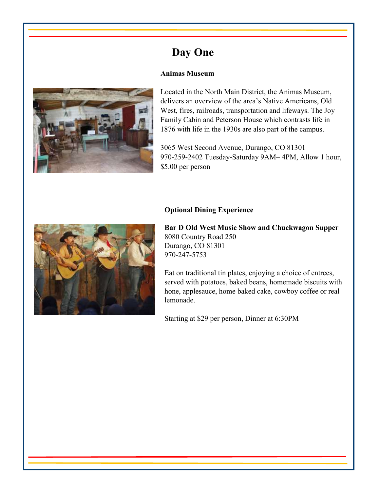# **Day One**

#### **Animas Museum**



Located in the North Main District, the Animas Museum, delivers an overview of the area's Native Americans, Old West, fires, railroads, transportation and lifeways. The Joy Family Cabin and Peterson House which contrasts life in 1876 with life in the 1930s are also part of the campus.

3065 West Second Avenue, Durango, CO 81301 970-259-2402 Tuesday-Saturday 9AM– 4PM, Allow 1 hour, \$5.00 per person



#### **Optional Dining Experience**

**Bar D Old West Music Show and Chuckwagon Supper**  8080 Country Road 250 Durango, CO 81301 970-247-5753

Eat on traditional tin plates, enjoying a choice of entrees, served with potatoes, baked beans, homemade biscuits with hone, applesauce, home baked cake, cowboy coffee or real lemonade.

Starting at \$29 per person, Dinner at 6:30PM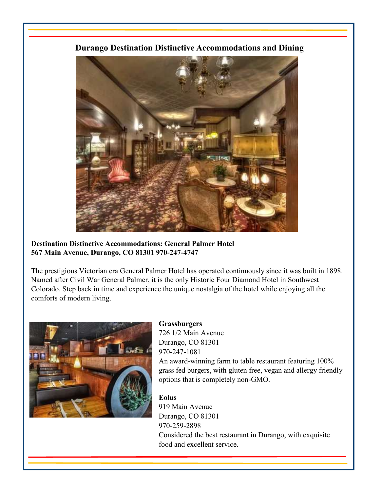**Durango Destination Distinctive Accommodations and Dining** 



**Destination Distinctive Accommodations: General Palmer Hotel 567 Main Avenue, Durango, CO 81301 970-247-4747** 

The prestigious Victorian era General Palmer Hotel has operated continuously since it was built in 1898. Named after Civil War General Palmer, it is the only Historic Four Diamond Hotel in Southwest Colorado. Step back in time and experience the unique nostalgia of the hotel while enjoying all the comforts of modern living.



### **Grassburgers**

726 1/2 Main Avenue Durango, CO 81301 970-247-1081

An award-winning farm to table restaurant featuring 100% grass fed burgers, with gluten free, vegan and allergy friendly options that is completely non-GMO.

### **Eolus**

919 Main Avenue Durango, CO 81301 970-259-2898 Considered the best restaurant in Durango, with exquisite food and excellent service.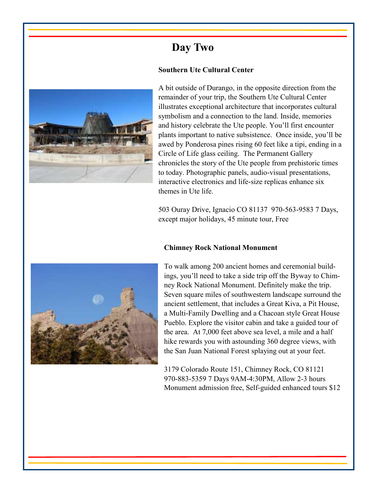# **Day Two**

### **Southern Ute Cultural Center**



A bit outside of Durango, in the opposite direction from the remainder of your trip, the Southern Ute Cultural Center illustrates exceptional architecture that incorporates cultural symbolism and a connection to the land. Inside, memories and history celebrate the Ute people. You'll first encounter plants important to native subsistence. Once inside, you'll be awed by Ponderosa pines rising 60 feet like a tipi, ending in a Circle of Life glass ceiling. The Permanent Gallery chronicles the story of the Ute people from prehistoric times to today. Photographic panels, audio-visual presentations, interactive electronics and life-size replicas enhance six themes in Ute life.

503 Ouray Drive, Ignacio CO 81137 970-563-9583 7 Days, except major holidays, 45 minute tour, Free

### **Chimney Rock National Monument**



To walk among 200 ancient homes and ceremonial buildings, you'll need to take a side trip off the Byway to Chimney Rock National Monument. Definitely make the trip. Seven square miles of southwestern landscape surround the ancient settlement, that includes a Great Kiva, a Pit House, a Multi-Family Dwelling and a Chacoan style Great House Pueblo. Explore the visitor cabin and take a guided tour of the area. At 7,000 feet above sea level, a mile and a half hike rewards you with astounding 360 degree views, with the San Juan National Forest splaying out at your feet.

3179 Colorado Route 151, Chimney Rock, CO 81121 970-883-5359 7 Days 9AM-4:30PM, Allow 2-3 hours Monument admission free, Self-guided enhanced tours \$12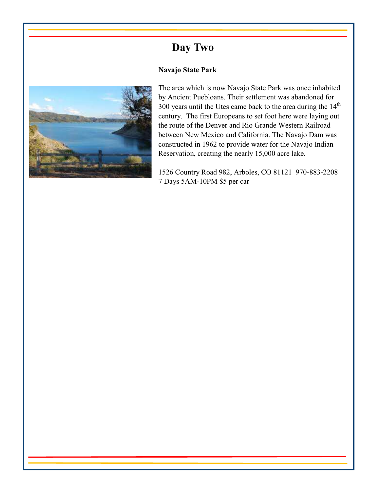# **Day Two**

### **Navajo State Park**



The area which is now Navajo State Park was once inhabited by Ancient Puebloans. Their settlement was abandoned for 300 years until the Utes came back to the area during the  $14<sup>th</sup>$ century. The first Europeans to set foot here were laying out the route of the Denver and Rio Grande Western Railroad between New Mexico and California. The Navajo Dam was constructed in 1962 to provide water for the Navajo Indian Reservation, creating the nearly 15,000 acre lake.

1526 Country Road 982, Arboles, CO 81121 970-883-2208 7 Days 5AM-10PM \$5 per car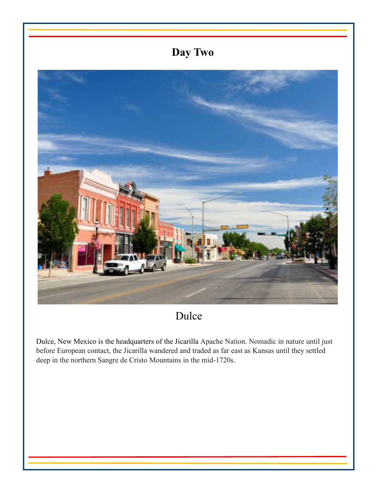# **Day Two**



Dulce

Dulce, New Mexico is the headquarters of the Jicarilla Apache Nation. Nomadic in nature until just before European contact, the Jicarilla wandered and traded as far east as Kansas until they settled deep in the northern Sangre de Cristo Mountains in the mid-1720s.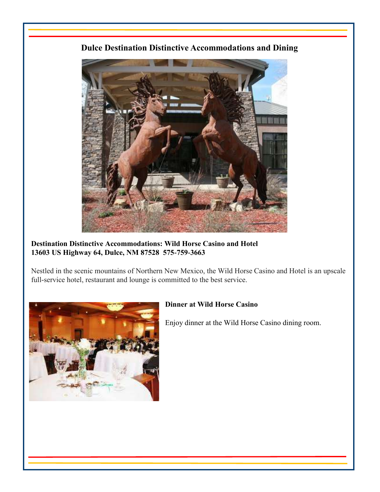## **Dulce Destination Distinctive Accommodations and Dining**



**Destination Distinctive Accommodations: Wild Horse Casino and Hotel 13603 US Highway 64, Dulce, NM 87528 575-759-3663**

Nestled in the scenic mountains of Northern New Mexico, the Wild Horse Casino and Hotel is an upscale full-service hotel, restaurant and lounge is committed to the best service.



### **Dinner at Wild Horse Casino**

Enjoy dinner at the Wild Horse Casino dining room.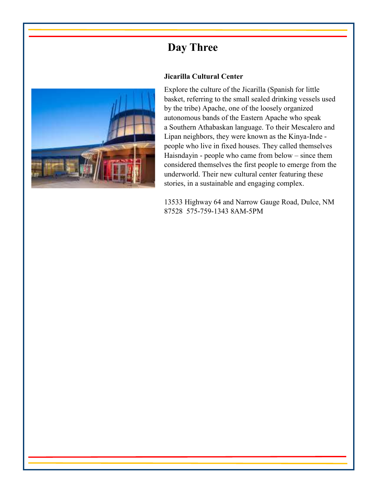# **Day Three**



#### **Jicarilla Cultural Center**

Explore the culture of the Jicarilla (Spanish for little basket, referring to the small sealed drinking vessels used by the tribe) Apache, one of the loosely organized autonomous bands of the Eastern Apache who speak a Southern Athabaskan language. To their Mescalero and Lipan neighbors, they were known as the Kinya-Inde people who live in fixed houses. They called themselves Haisndayin - people who came from below – since them considered themselves the first people to emerge from the underworld. Their new cultural center featuring these stories, in a sustainable and engaging complex.

13533 Highway 64 and Narrow Gauge Road, Dulce, NM 87528 575-759-1343 8AM-5PM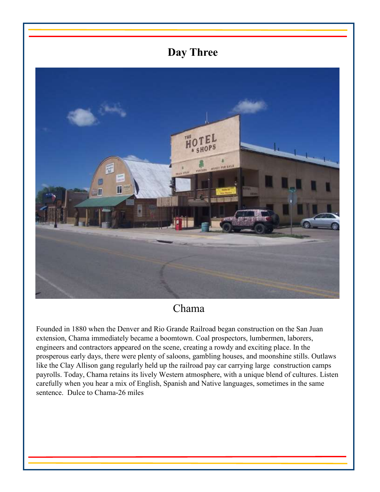# **Day Three**



## Chama

Founded in 1880 when the Denver and Rio Grande Railroad began construction on the San Juan extension, Chama immediately became a boomtown. Coal prospectors, lumbermen, laborers, engineers and contractors appeared on the scene, creating a rowdy and exciting place. In the prosperous early days, there were plenty of saloons, gambling houses, and moonshine stills. Outlaws like the Clay Allison gang regularly held up the railroad pay car carrying large construction camps payrolls. Today, Chama retains its lively Western atmosphere, with a unique blend of cultures. Listen carefully when you hear a mix of English, Spanish and Native languages, sometimes in the same sentence. Dulce to Chama-26 miles